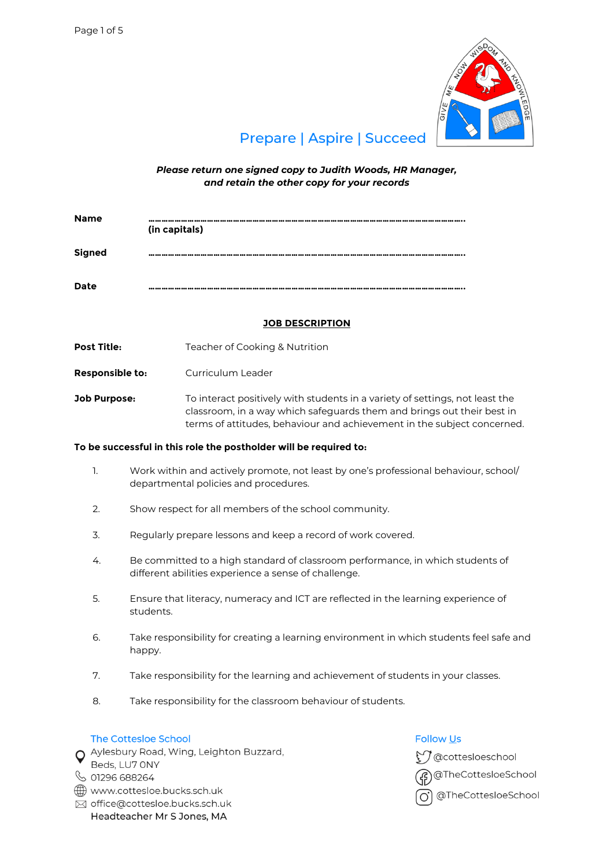

# **Prepare | Aspire | Succeed**

*Please return one signed copy to Judith Woods, HR Manager, and retain the other copy for your records*

| <b>Name</b>   | (in capitals) |
|---------------|---------------|
| <b>Signed</b> |               |
| <b>Date</b>   |               |

# **JOB DESCRIPTION**

**Post Title:** Teacher of Cooking & Nutrition

**Responsible to:** Curriculum Leader

**Job Purpose:** To interact positively with students in a variety of settings, not least the classroom, in a way which safeguards them and brings out their best in terms of attitudes, behaviour and achievement in the subject concerned.

# **To be successful in this role the postholder will be required to:**

- 1. Work within and actively promote, not least by one's professional behaviour, school/ departmental policies and procedures.
- 2. Show respect for all members of the school community.
- 3. Regularly prepare lessons and keep a record of work covered.
- 4. Be committed to a high standard of classroom performance, in which students of different abilities experience a sense of challenge.
- 5. Ensure that literacy, numeracy and ICT are reflected in the learning experience of students.
- 6. Take responsibility for creating a learning environment in which students feel safe and happy.
- 7. Take responsibility for the learning and achievement of students in your classes.
- 8. Take responsibility for the classroom behaviour of students.

# The Cottesloe School

O Aylesbury Road, Wing, Leighton Buzzard,

- Beds, LU7 ONY
- ↓ 01296 688264
- www.cottesloe.bucks.sch.uk
- ⊠ office@cottesloe.bucks.sch.uk Headteacher Mr S Jones, MA

# **Follow Us**

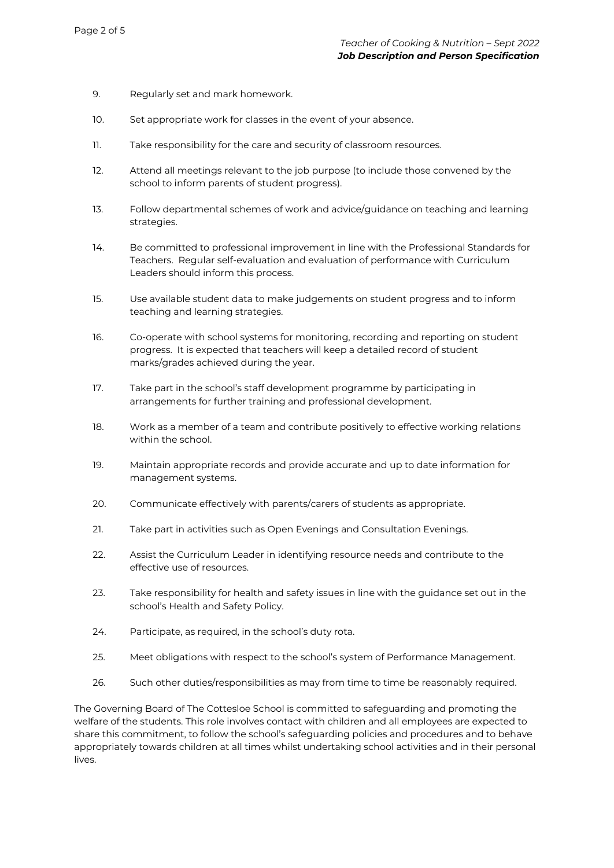- 9. Regularly set and mark homework.
- 10. Set appropriate work for classes in the event of your absence.
- 11. Take responsibility for the care and security of classroom resources.
- 12. Attend all meetings relevant to the job purpose (to include those convened by the school to inform parents of student progress).
- 13. Follow departmental schemes of work and advice/guidance on teaching and learning strategies.
- 14. Be committed to professional improvement in line with the Professional Standards for Teachers. Regular self-evaluation and evaluation of performance with Curriculum Leaders should inform this process.
- 15. Use available student data to make judgements on student progress and to inform teaching and learning strategies.
- 16. Co-operate with school systems for monitoring, recording and reporting on student progress. It is expected that teachers will keep a detailed record of student marks/grades achieved during the year.
- 17. Take part in the school's staff development programme by participating in arrangements for further training and professional development.
- 18. Work as a member of a team and contribute positively to effective working relations within the school.
- 19. Maintain appropriate records and provide accurate and up to date information for management systems.
- 20. Communicate effectively with parents/carers of students as appropriate.
- 21. Take part in activities such as Open Evenings and Consultation Evenings.
- 22. Assist the Curriculum Leader in identifying resource needs and contribute to the effective use of resources.
- 23. Take responsibility for health and safety issues in line with the guidance set out in the school's Health and Safety Policy.
- 24. Participate, as required, in the school's duty rota.
- 25. Meet obligations with respect to the school's system of Performance Management.
- 26. Such other duties/responsibilities as may from time to time be reasonably required.

The Governing Board of The Cottesloe School is committed to safeguarding and promoting the welfare of the students. This role involves contact with children and all employees are expected to share this commitment, to follow the school's safeguarding policies and procedures and to behave appropriately towards children at all times whilst undertaking school activities and in their personal lives.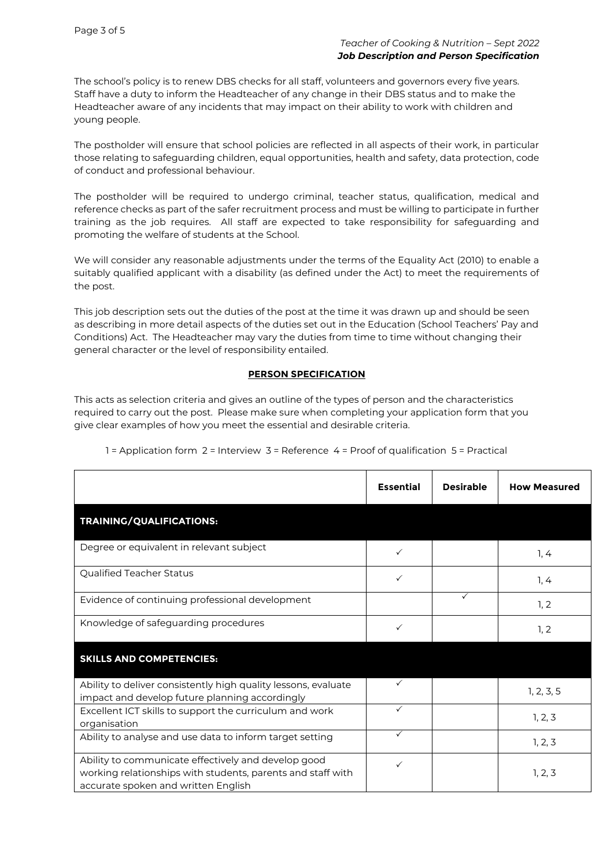The school's policy is to renew DBS checks for all staff, volunteers and governors every five years. Staff have a duty to inform the Headteacher of any change in their DBS status and to make the Headteacher aware of any incidents that may impact on their ability to work with children and young people.

The postholder will ensure that school policies are reflected in all aspects of their work, in particular those relating to safeguarding children, equal opportunities, health and safety, data protection, code of conduct and professional behaviour.

The postholder will be required to undergo criminal, teacher status, qualification, medical and reference checks as part of the safer recruitment process and must be willing to participate in further training as the job requires. All staff are expected to take responsibility for safeguarding and promoting the welfare of students at the School.

We will consider any reasonable adjustments under the terms of the Equality Act (2010) to enable a suitably qualified applicant with a disability (as defined under the Act) to meet the requirements of the post.

This job description sets out the duties of the post at the time it was drawn up and should be seen as describing in more detail aspects of the duties set out in the Education (School Teachers' Pay and Conditions) Act. The Headteacher may vary the duties from time to time without changing their general character or the level of responsibility entailed.

## **PERSON SPECIFICATION**

This acts as selection criteria and gives an outline of the types of person and the characteristics required to carry out the post. Please make sure when completing your application form that you give clear examples of how you meet the essential and desirable criteria.

|                                                                                                                                                           | <b>Essential</b> | <b>Desirable</b> | <b>How Measured</b> |
|-----------------------------------------------------------------------------------------------------------------------------------------------------------|------------------|------------------|---------------------|
| TRAINING/QUALIFICATIONS:                                                                                                                                  |                  |                  |                     |
| Degree or equivalent in relevant subject                                                                                                                  | ✓                |                  | 1, 4                |
| Qualified Teacher Status                                                                                                                                  | $\checkmark$     |                  | 1, 4                |
| Evidence of continuing professional development                                                                                                           |                  | ✓                | 1, 2                |
| Knowledge of safeguarding procedures                                                                                                                      | ✓                |                  | 1, 2                |
| <b>SKILLS AND COMPETENCIES:</b>                                                                                                                           |                  |                  |                     |
| Ability to deliver consistently high quality lessons, evaluate<br>impact and develop future planning accordingly                                          | ✓                |                  | 1, 2, 3, 5          |
| Excellent ICT skills to support the curriculum and work<br>organisation                                                                                   | $\checkmark$     |                  | 1, 2, 3             |
| Ability to analyse and use data to inform target setting                                                                                                  | $\checkmark$     |                  | 1, 2, 3             |
| Ability to communicate effectively and develop good<br>working relationships with students, parents and staff with<br>accurate spoken and written English | ✓                |                  | 1, 2, 3             |

1 = Application form 2 = Interview 3 = Reference 4 = Proof of qualification 5 = Practical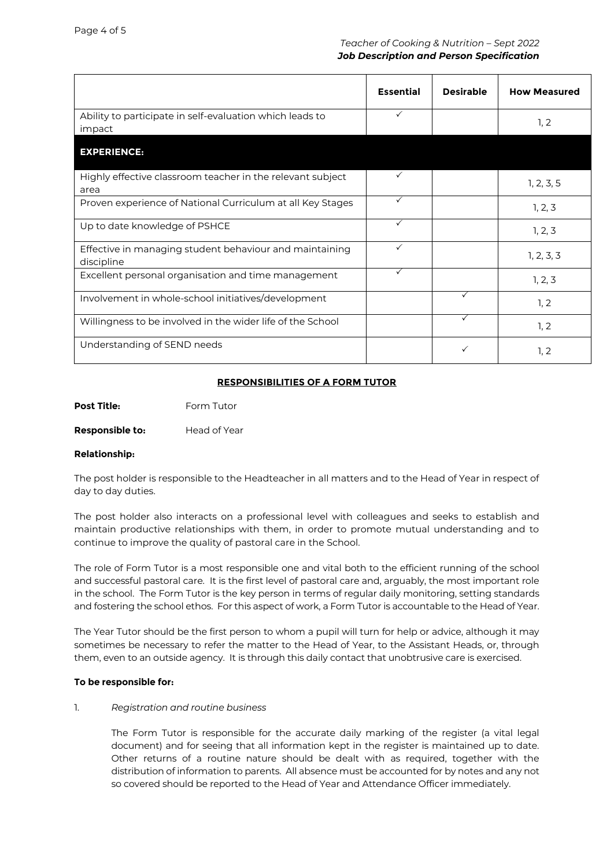|                                                                       | <b>Essential</b> | <b>Desirable</b> | <b>How Measured</b> |
|-----------------------------------------------------------------------|------------------|------------------|---------------------|
| Ability to participate in self-evaluation which leads to<br>impact    | $\checkmark$     |                  | 1, 2                |
| <b>EXPERIENCE:</b>                                                    |                  |                  |                     |
| Highly effective classroom teacher in the relevant subject<br>area    | $\checkmark$     |                  | 1, 2, 3, 5          |
| Proven experience of National Curriculum at all Key Stages            | $\checkmark$     |                  | 1, 2, 3             |
| Up to date knowledge of PSHCE                                         | $\checkmark$     |                  | 1, 2, 3             |
| Effective in managing student behaviour and maintaining<br>discipline | $\checkmark$     |                  | 1, 2, 3, 3          |
| Excellent personal organisation and time management                   | $\checkmark$     |                  | 1, 2, 3             |
| Involvement in whole-school initiatives/development                   |                  | $\checkmark$     | 1, 2                |
| Willingness to be involved in the wider life of the School            |                  | $\checkmark$     | 1, 2                |
| Understanding of SEND needs                                           |                  | ✓                | 1, 2                |

# **RESPONSIBILITIES OF A FORM TUTOR**

**Post Title:** Form Tutor

**Responsible to:** Head of Year

## **Relationship:**

The post holder is responsible to the Headteacher in all matters and to the Head of Year in respect of day to day duties.

The post holder also interacts on a professional level with colleagues and seeks to establish and maintain productive relationships with them, in order to promote mutual understanding and to continue to improve the quality of pastoral care in the School.

The role of Form Tutor is a most responsible one and vital both to the efficient running of the school and successful pastoral care. It is the first level of pastoral care and, arguably, the most important role in the school. The Form Tutor is the key person in terms of regular daily monitoring, setting standards and fostering the school ethos. For this aspect of work, a Form Tutor is accountable to the Head of Year.

The Year Tutor should be the first person to whom a pupil will turn for help or advice, although it may sometimes be necessary to refer the matter to the Head of Year, to the Assistant Heads, or, through them, even to an outside agency. It is through this daily contact that unobtrusive care is exercised.

# **To be responsible for:**

## 1. *Registration and routine business*

The Form Tutor is responsible for the accurate daily marking of the register (a vital legal document) and for seeing that all information kept in the register is maintained up to date. Other returns of a routine nature should be dealt with as required, together with the distribution of information to parents. All absence must be accounted for by notes and any not so covered should be reported to the Head of Year and Attendance Officer immediately.